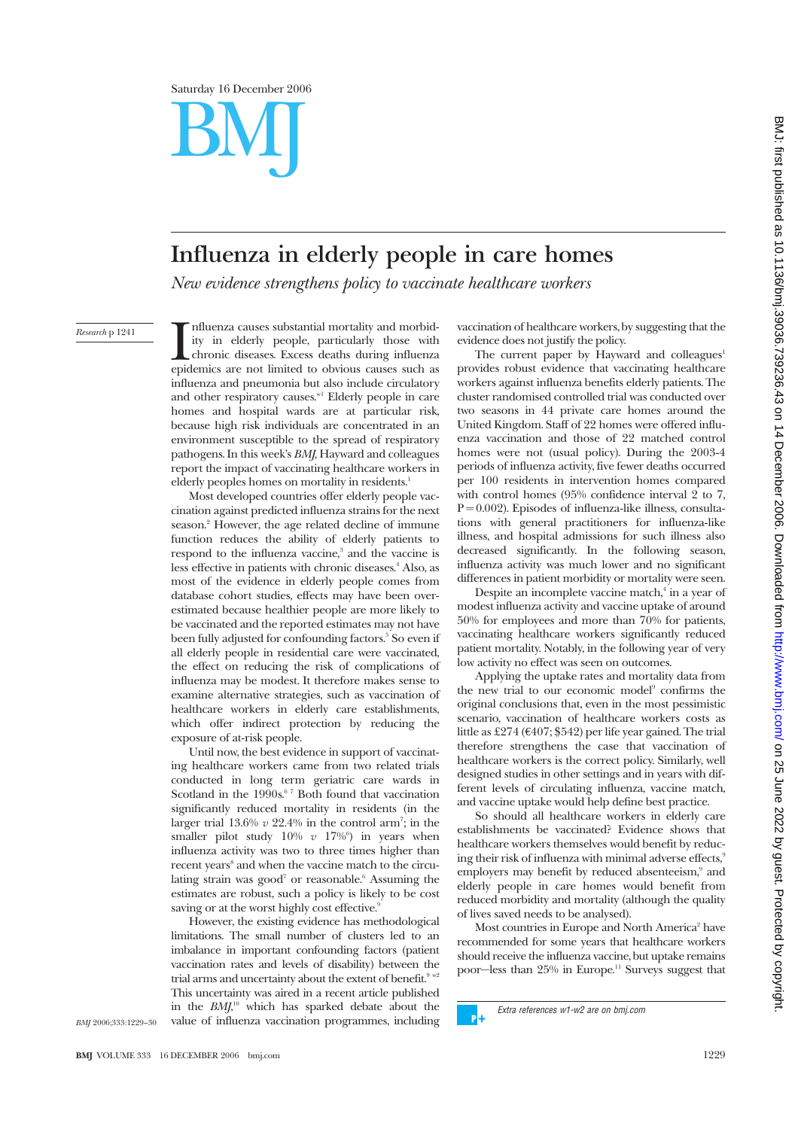

# BMJ

# **Influenza in elderly people in care homes**

*New evidence strengthens policy to vaccinate healthcare workers*

### *Research* p 1241

Influenza causes substantial mortality and morbid-<br>ity in elderly people, particularly those with<br>chronic diseases. Excess deaths during influenza<br>epidemics are not limited to obvious causes such as nfluenza causes substantial mortality and morbidity in elderly people, particularly those with chronic diseases. Excess deaths during influenza influenza and pneumonia but also include circulatory and other respiratory causes. $w_1$  Elderly people in care homes and hospital wards are at particular risk, because high risk individuals are concentrated in an environment susceptible to the spread of respiratory pathogens. In this week's *BMJ,* Hayward and colleagues report the impact of vaccinating healthcare workers in elderly peoples homes on mortality in residents.<sup>1</sup>

Most developed countries offer elderly people vaccination against predicted influenza strains for the next season.<sup>2</sup> However, the age related decline of immune function reduces the ability of elderly patients to respond to the influenza vaccine,<sup>3</sup> and the vaccine is less effective in patients with chronic diseases.<sup>4</sup> Also, as most of the evidence in elderly people comes from database cohort studies, effects may have been overestimated because healthier people are more likely to be vaccinated and the reported estimates may not have been fully adjusted for confounding factors.<sup>5</sup> So even if all elderly people in residential care were vaccinated, the effect on reducing the risk of complications of influenza may be modest. It therefore makes sense to examine alternative strategies, such as vaccination of healthcare workers in elderly care establishments, which offer indirect protection by reducing the exposure of at-risk people.

Until now, the best evidence in support of vaccinating healthcare workers came from two related trials conducted in long term geriatric care wards in Scotland in the  $1990s$ .<sup>67</sup> Both found that vaccination significantly reduced mortality in residents (in the larger trial  $13.6\%$   $v$   $22.4\%$  in the control arm<sup>7</sup>; in the smaller pilot study  $10\%$   $v$   $17\%$ <sup>6</sup>) in years when influenza activity was two to three times higher than recent years<sup>8</sup> and when the vaccine match to the circulating strain was good<sup>7</sup> or reasonable.<sup>6</sup> Assuming the estimates are robust, such a policy is likely to be cost saving or at the worst highly cost effective.<sup>9</sup>

However, the existing evidence has methodological limitations. The small number of clusters led to an imbalance in important confounding factors (patient vaccination rates and levels of disability) between the trial arms and uncertainty about the extent of benefit.<sup>9</sup> w This uncertainty was aired in a recent article published in the *BMJ*, <sup>10</sup> which has sparked debate about the value of influenza vaccination programmes, including

vaccination of healthcare workers, by suggesting that the evidence does not justify the policy.

The current paper by Hayward and colleagues<sup>1</sup> provides robust evidence that vaccinating healthcare workers against influenza benefits elderly patients. The cluster randomised controlled trial was conducted over two seasons in 44 private care homes around the United Kingdom. Staff of 22 homes were offered influenza vaccination and those of 22 matched control homes were not (usual policy). During the 2003-4 periods of influenza activity, five fewer deaths occurred per 100 residents in intervention homes compared with control homes (95% confidence interval  $2$  to 7,  $P = 0.002$ ). Episodes of influenza-like illness, consultations with general practitioners for influenza-like illness, and hospital admissions for such illness also decreased significantly. In the following season, influenza activity was much lower and no significant differences in patient morbidity or mortality were seen.

Despite an incomplete vaccine match,<sup>4</sup> in a year of modest influenza activity and vaccine uptake of around 50% for employees and more than 70% for patients, vaccinating healthcare workers significantly reduced patient mortality. Notably, in the following year of very low activity no effect was seen on outcomes.

Applying the uptake rates and mortality data from the new trial to our economic model<sup>9</sup> confirms the original conclusions that, even in the most pessimistic scenario, vaccination of healthcare workers costs as little as £274 ( $\epsilon$ 407; \$542) per life year gained. The trial therefore strengthens the case that vaccination of healthcare workers is the correct policy. Similarly, well designed studies in other settings and in years with different levels of circulating influenza, vaccine match, and vaccine uptake would help define best practice.

So should all healthcare workers in elderly care establishments be vaccinated? Evidence shows that healthcare workers themselves would benefit by reducing their risk of influenza with minimal adverse effects,<sup>9</sup> employers may benefit by reduced absenteeism,<sup>9</sup> and elderly people in care homes would benefit from reduced morbidity and mortality (although the quality of lives saved needs to be analysed).

Most countries in Europe and North America<sup>2</sup> have recommended for some years that healthcare workers should receive the influenza vaccine, but uptake remains poor—less than 25% in Europe.<sup>11</sup> Surveys suggest that

Extra references w1-w2 are on bmj.com ъĀ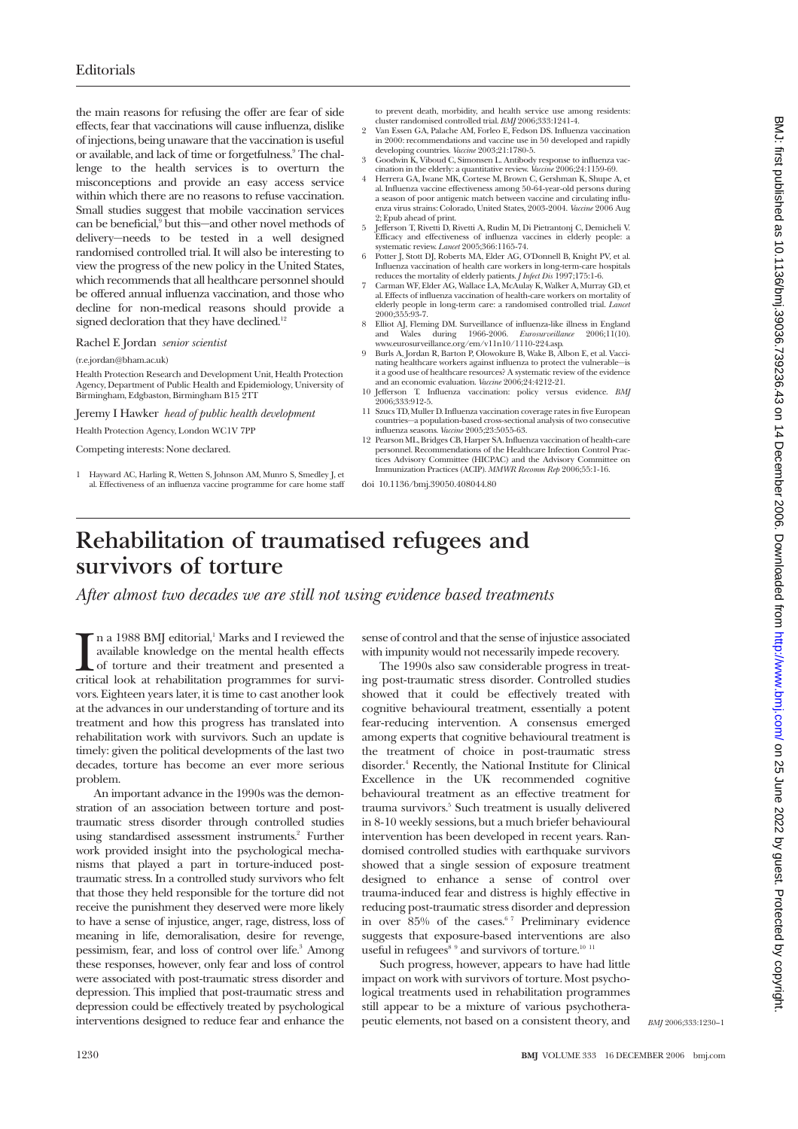the main reasons for refusing the offer are fear of side effects, fear that vaccinations will cause influenza, dislike of injections, being unaware that the vaccination is useful or available, and lack of time or forgetfulness.9 The challenge to the health services is to overturn the misconceptions and provide an easy access service within which there are no reasons to refuse vaccination. Small studies suggest that mobile vaccination services can be beneficial,<sup>9</sup> but this—and other novel methods of delivery—needs to be tested in a well designed randomised controlled trial. It will also be interesting to view the progress of the new policy in the United States, which recommends that all healthcare personnel should be offered annual influenza vaccination, and those who decline for non-medical reasons should provide a signed decloration that they have declined.<sup>12</sup>

## Rachel E Jordan *senior scientist*

(r.e.jordan@bham.ac.uk)

Health Protection Research and Development Unit, Health Protection Agency, Department of Public Health and Epidemiology, University of Birmingham, Edgbaston, Birmingham B15 2TT

Jeremy I Hawker *head of public health development*

Health Protection Agency, London WC1V 7PP

Competing interests: None declared.

1 Hayward AC, Harling R, Wetten S, Johnson AM, Munro S, Smedley J, et al. Effectiveness of an influenza vaccine programme for care home staff

- to prevent death, morbidity, and health service use among residents: cluster randomised controlled trial. *BMJ* 2006;333:1241-4.
- 2 Van Essen GA, Palache AM, Forleo E, Fedson DS. Influenza vaccination in 2000: recommendations and vaccine use in 50 developed and rapidly developing countries. *Vaccine* 2003;21:1780-5.
- 3 Goodwin K, Viboud C, Simonsen L. Antibody response to influenza vac-cination in the elderly: a quantitative review. *Vaccine* 2006;24:1159-69.
- 4 Herrera GA, Iwane MK, Cortese M, Brown C, Gershman K, Shupe A, et al. Influenza vaccine effectiveness among 50-64-year-old persons during a season of poor antigenic match between vaccine and circulating influenza virus strains: Colorado, United States, 2003-2004. *Vaccine* 2006 Aug
- 2; Epub ahead of print. 5 Jefferson T, Rivetti D, Rivetti A, Rudin M, Di Pietrantonj C, Demicheli V. Efficacy and effectiveness of influenza vaccines in elderly people: a systematic review. *Lancet* 2005;366:1165-74.
- 6 Potter J, Stott DJ, Roberts MA, Elder AG, O'Donnell B, Knight PV, et al. Influenza vaccination of health care workers in long-term-care hospitals reduces the mortality of elderly patients. *J Infect Dis* 1997;175:1-6.
- 7 Carman WF, Elder AG, Wallace LA, McAulay K, Walker A, Murray GD, et al. Effects of influenza vaccination of health-care workers on mortality of elderly people in long-term care: a randomised controlled trial. *Lancet* 2000;355:93-7.
- 8 Elliot AJ, Fleming DM. Surveillance of influenza-like illness in England and Wales during 1966-2006. *Eurosurveillance* 2006;11(10).<br>www.eurosurveillance.org/em/v11n10/1110-224.asp.<br>Burls A, Jordan R, Barton P, Olowokure B, Wake B, Albon E, et al. Vacci-
- nating healthcare workers against influenza to protect the vulnerable—is it a good use of healthcare resources? A systematic review of the evidence and an economic evaluation. *Vaccine* 2006;24:4212-21.
- 10 Jefferson T. Influenza vaccination: policy versus evidence. *BMJ* 2006-333-912-5.
- 11 Szucs TD, Muller D. Influenza vaccination coverage rates in five European countries—a population-based cross-sectional analysis of two consecutive influenza seasons. *Vaccine* 2005;23:5055-63.
- 12 Pearson ML, Bridges CB, Harper SA. Influenza vaccination of health-care personnel. Recommendations of the Healthcare Infection Control Prac-tices Advisory Committee (HICPAC) and the Advisory Committee on Immunization Practices (ACIP). *MMWR Recomm Rep* 2006;55:1-16.

doi 10.1136/bmj.39050.408044.80

## **Rehabilitation of traumatised refugees and survivors of torture**

*After almost two decades we are still not using evidence based treatments*

In a 1988 BMJ editorial,<sup>1</sup> Marks and I reviewed the available knowledge on the mental health effects of torture and their treatment and presented a critical look at rehabilitation programmes for survi-In a 1988 BMJ editorial,<sup>1</sup> Marks and I reviewed the available knowledge on the mental health effects of torture and their treatment and presented a vors. Eighteen years later, it is time to cast another look at the advances in our understanding of torture and its treatment and how this progress has translated into rehabilitation work with survivors. Such an update is timely: given the political developments of the last two decades, torture has become an ever more serious problem.

An important advance in the 1990s was the demonstration of an association between torture and posttraumatic stress disorder through controlled studies using standardised assessment instruments.<sup>2</sup> Further work provided insight into the psychological mechanisms that played a part in torture-induced posttraumatic stress. In a controlled study survivors who felt that those they held responsible for the torture did not receive the punishment they deserved were more likely to have a sense of injustice, anger, rage, distress, loss of meaning in life, demoralisation, desire for revenge, pessimism, fear, and loss of control over life.<sup>3</sup> Among these responses, however, only fear and loss of control were associated with post-traumatic stress disorder and depression. This implied that post-traumatic stress and depression could be effectively treated by psychological interventions designed to reduce fear and enhance the

sense of control and that the sense of injustice associated with impunity would not necessarily impede recovery.

The 1990s also saw considerable progress in treating post-traumatic stress disorder. Controlled studies showed that it could be effectively treated with cognitive behavioural treatment, essentially a potent fear-reducing intervention. A consensus emerged among experts that cognitive behavioural treatment is the treatment of choice in post-traumatic stress disorder.4 Recently, the National Institute for Clinical Excellence in the UK recommended cognitive behavioural treatment as an effective treatment for trauma survivors.5 Such treatment is usually delivered in 8-10 weekly sessions, but a much briefer behavioural intervention has been developed in recent years. Randomised controlled studies with earthquake survivors showed that a single session of exposure treatment designed to enhance a sense of control over trauma-induced fear and distress is highly effective in reducing post-traumatic stress disorder and depression in over 85% of the cases.<sup>67</sup> Preliminary evidence suggests that exposure-based interventions are also useful in refugees $89$  and survivors of torture.<sup>10 11</sup>

Such progress, however, appears to have had little impact on work with survivors of torture. Most psychological treatments used in rehabilitation programmes still appear to be a mixture of various psychotherapeutic elements, not based on a consistent theory, and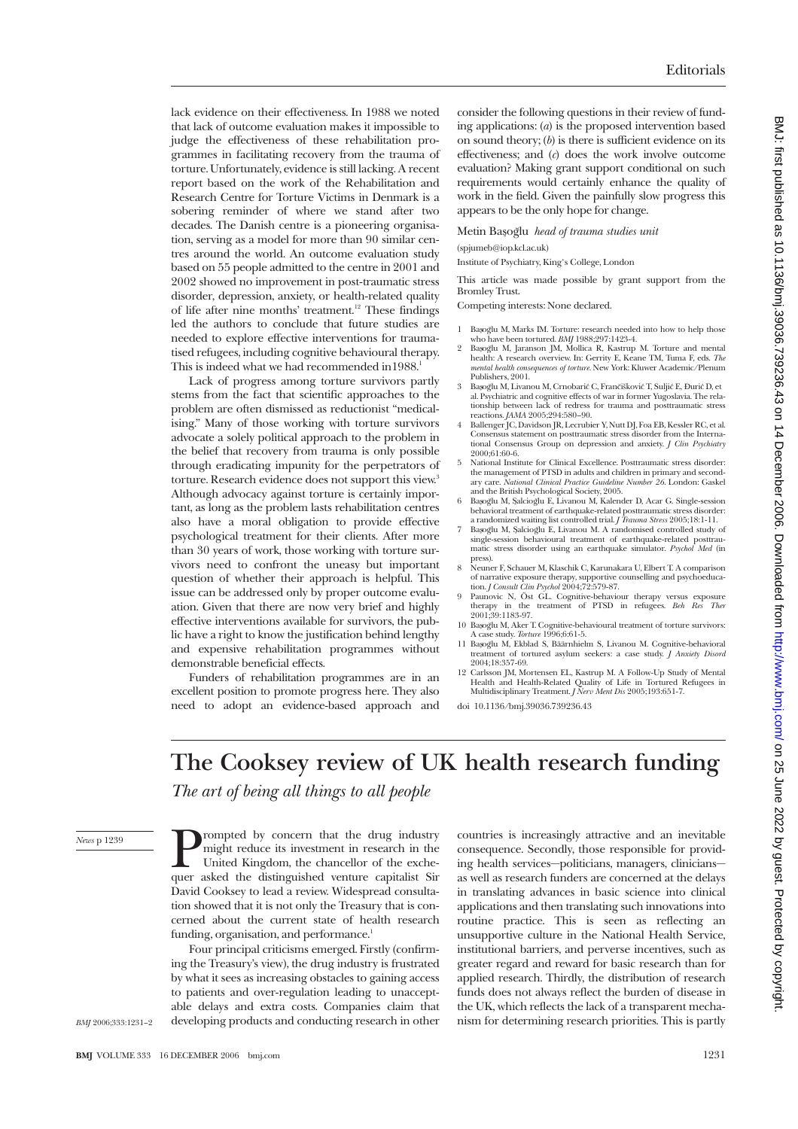lack evidence on their effectiveness. In 1988 we noted that lack of outcome evaluation makes it impossible to judge the effectiveness of these rehabilitation programmes in facilitating recovery from the trauma of torture. Unfortunately, evidence is still lacking. A recent report based on the work of the Rehabilitation and Research Centre for Torture Victims in Denmark is a sobering reminder of where we stand after two decades. The Danish centre is a pioneering organisation, serving as a model for more than 90 similar centres around the world. An outcome evaluation study based on 55 people admitted to the centre in 2001 and 2002 showed no improvement in post-traumatic stress disorder, depression, anxiety, or health-related quality of life after nine months' treatment.<sup>12</sup> These findings led the authors to conclude that future studies are needed to explore effective interventions for traumatised refugees, including cognitive behavioural therapy. This is indeed what we had recommended in 1988.<sup>1</sup>

Lack of progress among torture survivors partly stems from the fact that scientific approaches to the problem are often dismissed as reductionist "medicalising." Many of those working with torture survivors advocate a solely political approach to the problem in the belief that recovery from trauma is only possible through eradicating impunity for the perpetrators of torture. Research evidence does not support this view.<sup>3</sup> Although advocacy against torture is certainly important, as long as the problem lasts rehabilitation centres also have a moral obligation to provide effective psychological treatment for their clients. After more than 30 years of work, those working with torture survivors need to confront the uneasy but important question of whether their approach is helpful. This issue can be addressed only by proper outcome evaluation. Given that there are now very brief and highly effective interventions available for survivors, the public have a right to know the justification behind lengthy and expensive rehabilitation programmes without demonstrable beneficial effects.

Funders of rehabilitation programmes are in an excellent position to promote progress here. They also need to adopt an evidence-based approach and consider the following questions in their review of funding applications: (*a*) is the proposed intervention based on sound theory; (*b*) is there is sufficient evidence on its effectiveness; and (*c*) does the work involve outcome evaluation? Making grant support conditional on such requirements would certainly enhance the quality of work in the field. Given the painfully slow progress this appears to be the only hope for change.

Metin Bas¸og˘lu *head of trauma studies unit*

(spjumeb@iop.kcl.ac.uk)

Institute of Psychiatry, King's College, London

This article was made possible by grant support from the Bromley Trust.

Competing interests: None declared.

- 1 BasogYu M, Marks IM. Torture: research needed into how to help those who have been tortured. *BMJ* 1988;297:1423-4.
- 2 Basogĭlu M, Jaranson JM, Mollica R, Kastrup M. Torture and mental health: A research overview. In: Gerrity E, Keane TM, Tuma F, eds. *The mental health consequences of torture*. New York: Kluwer Academic/Plenum Publishers, 2001.
- 3 Başoğlu M, Livanou M, Crnobarić C, Frančišković T, Suljić E, Đurić D, et al. Psychiatric and cognitive effects of war in former Yugoslavia. The rela-tionship between lack of redress for trauma and posttraumatic stress reactions. *JAMA* 2005;294:580–90.
- 4 Ballenger JC, Davidson JR, Lecrubier Y, Nutt DJ, Foa EB, Kessler RC, et al. Consensus statement on posttraumatic stress disorder from the Interna-tional Consensus Group on depression and anxiety. *J Clin Psychiatry* 2000;61:60-6.
- 5 National Institute for Clinical Excellence. Posttraumatic stress disorder: the management of PTSD in adults and children in primary and second-ary care. *National Clinical Practice Guideline Number 26*. London: Gaskel
- and the British Psychological Society, 2005.<br>6 Basogʻlu M, Salciogʻlu E, Livanou M, Kalender D, Acar G. Single-session behavioral treatment of earthquake-related posttraumatic stress disorder: a randomized waiting list controlled trial. *J Trauma Stress* 2005;18:1-11.
- 7 Basogʻlu M, Salciogʻlu E, Livanou M. A randomised controlled study of single-session behavioural treatment of earthquake-related posttraumatic stress disorder using an earthquake simulator. *Psychol Med* (in press).
- 8 Neuner F, Schauer M, Klaschik C, Karunakara U, Elbert T. A comparison of narrative exposure therapy, supportive counselling and psychoeduca-tion. *J Consult Clin Psychol* 2004;72:579-87.
- 9 Paunovic N, Öst GL. Cognitive-behaviour therapy versus exposure therapy in the treatment of PTSD in refugees. *Beh Res Ther* 2001;39:1183-97.
- 10 Basogʻlu M, Aker T. Cognitive-behavioural treatment of torture survivors: A case study. *Torture* 1996;6:61-5.
- 11 Basoğlu M, Ekblad S, Bäärnhielm S, Livanou M, Cognitive-behavioral treatment of tortured asylum seekers: a case study. *J Anxiety Disord* 2004;18:357-69.
- 12 Carlsson JM, Mortensen EL, Kastrup M. A Follow-Up Study of Mental Health and Health-Related Quality of Life in Tortured Refugees in Multidisciplinary Treatment. *J Nerv Ment Dis* 2005;193:651-7.

doi 10.1136/bmj.39036.739236.43

## **The Cooksey review of UK health research funding**

*The art of being all things to all people*

*News* p 1239

**Prompted** by concern that the drug industry might reduce its investment in research in the United Kingdom, the chancellor of the exchequer asked the distinguished venture capitalist Sir might reduce its investment in research in the United Kingdom, the chancellor of the exche-David Cooksey to lead a review. Widespread consultation showed that it is not only the Treasury that is concerned about the current state of health research funding, organisation, and performance.<sup>1</sup>

Four principal criticisms emerged. Firstly (confirming the Treasury's view), the drug industry is frustrated by what it sees as increasing obstacles to gaining access to patients and over-regulation leading to unacceptable delays and extra costs. Companies claim that developing products and conducting research in other

countries is increasingly attractive and an inevitable consequence. Secondly, those responsible for providing health services—politicians, managers, clinicians as well as research funders are concerned at the delays in translating advances in basic science into clinical applications and then translating such innovations into routine practice. This is seen as reflecting an unsupportive culture in the National Health Service, institutional barriers, and perverse incentives, such as greater regard and reward for basic research than for applied research. Thirdly, the distribution of research funds does not always reflect the burden of disease in the UK, which reflects the lack of a transparent mechanism for determining research priorities. This is partly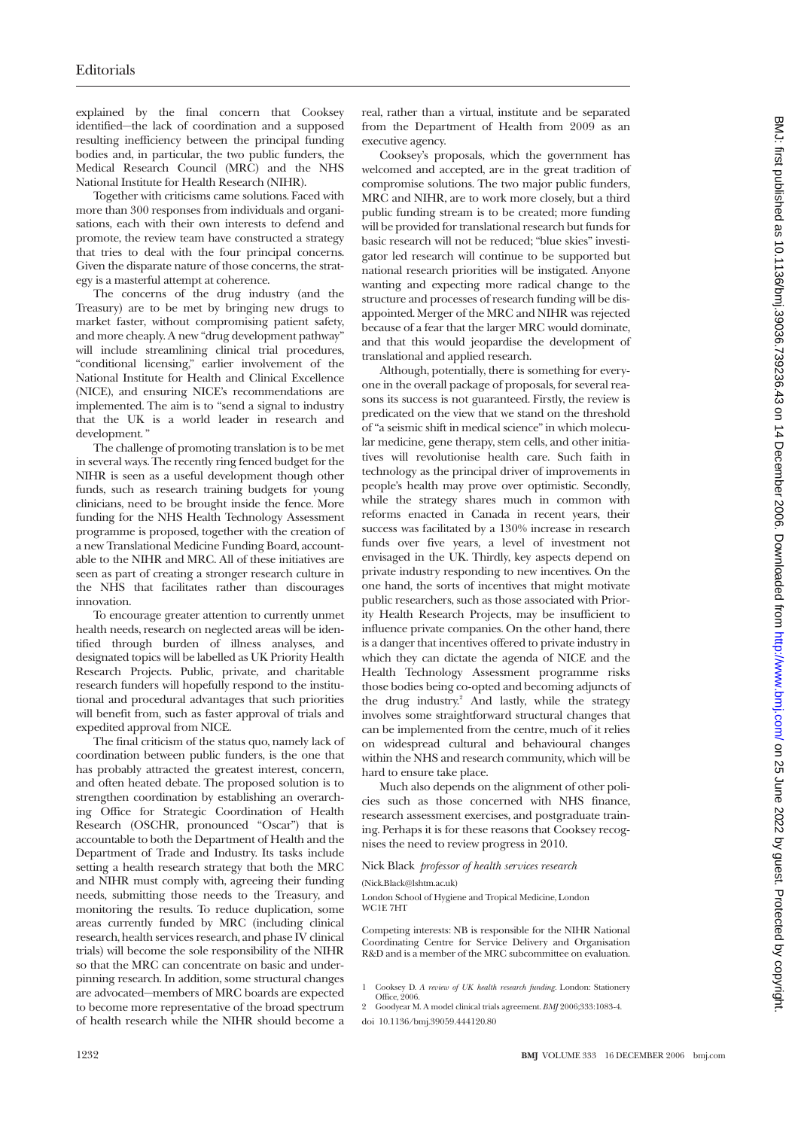explained by the final concern that Cooksey identified—the lack of coordination and a supposed resulting inefficiency between the principal funding bodies and, in particular, the two public funders, the Medical Research Council (MRC) and the NHS National Institute for Health Research (NIHR).

Together with criticisms came solutions. Faced with more than 300 responses from individuals and organisations, each with their own interests to defend and promote, the review team have constructed a strategy that tries to deal with the four principal concerns. Given the disparate nature of those concerns, the strategy is a masterful attempt at coherence.

The concerns of the drug industry (and the Treasury) are to be met by bringing new drugs to market faster, without compromising patient safety, and more cheaply. A new "drug development pathway" will include streamlining clinical trial procedures, "conditional licensing," earlier involvement of the National Institute for Health and Clinical Excellence (NICE), and ensuring NICE's recommendations are implemented. The aim is to "send a signal to industry that the UK is a world leader in research and development. "

The challenge of promoting translation is to be met in several ways. The recently ring fenced budget for the NIHR is seen as a useful development though other funds, such as research training budgets for young clinicians, need to be brought inside the fence. More funding for the NHS Health Technology Assessment programme is proposed, together with the creation of a new Translational Medicine Funding Board, accountable to the NIHR and MRC. All of these initiatives are seen as part of creating a stronger research culture in the NHS that facilitates rather than discourages innovation.

To encourage greater attention to currently unmet health needs, research on neglected areas will be identified through burden of illness analyses, and designated topics will be labelled as UK Priority Health Research Projects. Public, private, and charitable research funders will hopefully respond to the institutional and procedural advantages that such priorities will benefit from, such as faster approval of trials and expedited approval from NICE.

The final criticism of the status quo, namely lack of coordination between public funders, is the one that has probably attracted the greatest interest, concern, and often heated debate. The proposed solution is to strengthen coordination by establishing an overarching Office for Strategic Coordination of Health Research (OSCHR, pronounced "Oscar") that is accountable to both the Department of Health and the Department of Trade and Industry. Its tasks include setting a health research strategy that both the MRC and NIHR must comply with, agreeing their funding needs, submitting those needs to the Treasury, and monitoring the results. To reduce duplication, some areas currently funded by MRC (including clinical research, health services research, and phase IV clinical trials) will become the sole responsibility of the NIHR so that the MRC can concentrate on basic and underpinning research. In addition, some structural changes are advocated—members of MRC boards are expected to become more representative of the broad spectrum of health research while the NIHR should become a real, rather than a virtual, institute and be separated from the Department of Health from 2009 as an executive agency.

Cooksey's proposals, which the government has welcomed and accepted, are in the great tradition of compromise solutions. The two major public funders, MRC and NIHR, are to work more closely, but a third public funding stream is to be created; more funding will be provided for translational research but funds for basic research will not be reduced; "blue skies" investigator led research will continue to be supported but national research priorities will be instigated. Anyone wanting and expecting more radical change to the structure and processes of research funding will be disappointed. Merger of the MRC and NIHR was rejected because of a fear that the larger MRC would dominate, and that this would jeopardise the development of translational and applied research.

Although, potentially, there is something for everyone in the overall package of proposals, for several reasons its success is not guaranteed. Firstly, the review is predicated on the view that we stand on the threshold of "a seismic shift in medical science" in which molecular medicine, gene therapy, stem cells, and other initiatives will revolutionise health care. Such faith in technology as the principal driver of improvements in people's health may prove over optimistic. Secondly, while the strategy shares much in common with reforms enacted in Canada in recent years, their success was facilitated by a 130% increase in research funds over five years, a level of investment not envisaged in the UK. Thirdly, key aspects depend on private industry responding to new incentives. On the one hand, the sorts of incentives that might motivate public researchers, such as those associated with Priority Health Research Projects, may be insufficient to influence private companies. On the other hand, there is a danger that incentives offered to private industry in which they can dictate the agenda of NICE and the Health Technology Assessment programme risks those bodies being co-opted and becoming adjuncts of the drug industry.<sup>2</sup> And lastly, while the strategy involves some straightforward structural changes that can be implemented from the centre, much of it relies on widespread cultural and behavioural changes within the NHS and research community, which will be hard to ensure take place.

Much also depends on the alignment of other policies such as those concerned with NHS finance, research assessment exercises, and postgraduate training. Perhaps it is for these reasons that Cooksey recognises the need to review progress in 2010.

#### Nick Black *professor of health services research*

(Nick.Black@lshtm.ac.uk)

London School of Hygiene and Tropical Medicine, London WC1E 7HT

Competing interests: NB is responsible for the NIHR National Coordinating Centre for Service Delivery and Organisation R&D and is a member of the MRC subcommittee on evaluation.

2 Goodyear M. A model clinical trials agreement. *BMJ* 2006;333:1083-4. doi 10.1136/bmj.39059.444120.80

<sup>1</sup> Cooksey D. *A review of UK health research funding*. London: Stationery Office,  $2006$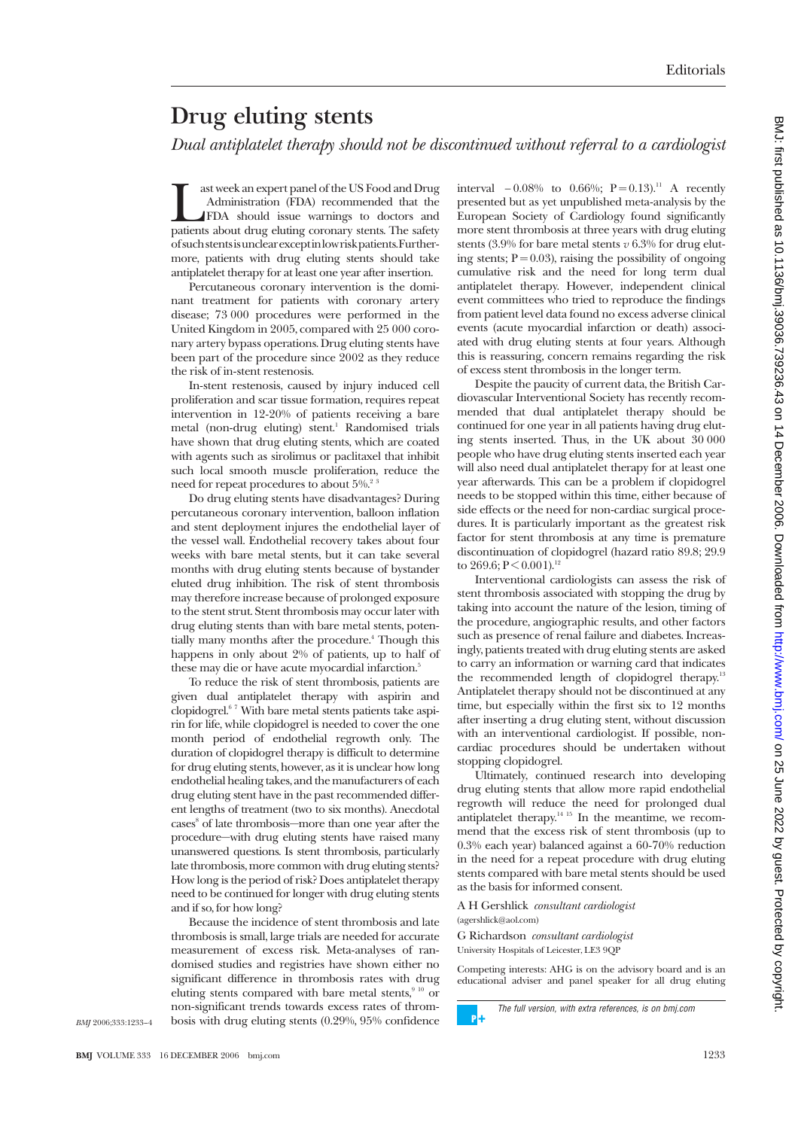# **Drug eluting stents**

*Dual antiplatelet therapy should not be discontinued without referral to a cardiologist*

ast week an expert panel of the US Food and Drug<br>Administration (FDA) recommended that the<br>FDA should issue warnings to doctors and<br>patients about drug eluting coronary stents. The safety ast week an expert panel of the US Food and Drug Administration (FDA) recommended that the FDA should issue warnings to doctors and ofsuchstentsisunclearexceptinlowriskpatients.Furthermore, patients with drug eluting stents should take antiplatelet therapy for at least one year after insertion.

Percutaneous coronary intervention is the dominant treatment for patients with coronary artery disease; 73 000 procedures were performed in the United Kingdom in 2005, compared with 25 000 coronary artery bypass operations. Drug eluting stents have been part of the procedure since 2002 as they reduce the risk of in-stent restenosis.

In-stent restenosis, caused by injury induced cell proliferation and scar tissue formation, requires repeat intervention in 12-20% of patients receiving a bare metal (non-drug eluting) stent.<sup>1</sup> Randomised trials have shown that drug eluting stents, which are coated with agents such as sirolimus or paclitaxel that inhibit such local smooth muscle proliferation, reduce the need for repeat procedures to about 5%.<sup>2</sup>

Do drug eluting stents have disadvantages? During percutaneous coronary intervention, balloon inflation and stent deployment injures the endothelial layer of the vessel wall. Endothelial recovery takes about four weeks with bare metal stents, but it can take several months with drug eluting stents because of bystander eluted drug inhibition. The risk of stent thrombosis may therefore increase because of prolonged exposure to the stent strut. Stent thrombosis may occur later with drug eluting stents than with bare metal stents, potentially many months after the procedure.<sup>4</sup> Though this happens in only about 2% of patients, up to half of these may die or have acute myocardial infarction.<sup>5</sup>

To reduce the risk of stent thrombosis, patients are given dual antiplatelet therapy with aspirin and clopidogrel.6 7 With bare metal stents patients take aspirin for life, while clopidogrel is needed to cover the one month period of endothelial regrowth only. The duration of clopidogrel therapy is difficult to determine for drug eluting stents, however, as it is unclear how long endothelial healing takes, and the manufacturers of each drug eluting stent have in the past recommended different lengths of treatment (two to six months). Anecdotal cases<sup>8</sup> of late thrombosis—more than one year after the procedure—with drug eluting stents have raised many unanswered questions. Is stent thrombosis, particularly late thrombosis, more common with drug eluting stents? How long is the period of risk? Does antiplatelet therapy need to be continued for longer with drug eluting stents and if so, for how long?

Because the incidence of stent thrombosis and late thrombosis is small, large trials are needed for accurate measurement of excess risk. Meta-analyses of randomised studies and registries have shown either no significant difference in thrombosis rates with drug eluting stents compared with bare metal stents, $910$  or non-significant trends towards excess rates of thrombosis with drug eluting stents (0.29%, 95% confidence

interval  $-0.08\%$  to 0.66%; P = 0.13).<sup>11</sup> A recently presented but as yet unpublished meta-analysis by the European Society of Cardiology found significantly more stent thrombosis at three years with drug eluting stents (3.9% for bare metal stents *v* 6.3% for drug eluting stents;  $P = 0.03$ ), raising the possibility of ongoing cumulative risk and the need for long term dual antiplatelet therapy. However, independent clinical event committees who tried to reproduce the findings from patient level data found no excess adverse clinical events (acute myocardial infarction or death) associated with drug eluting stents at four years. Although this is reassuring, concern remains regarding the risk of excess stent thrombosis in the longer term.

Despite the paucity of current data, the British Cardiovascular Interventional Society has recently recommended that dual antiplatelet therapy should be continued for one year in all patients having drug eluting stents inserted. Thus, in the UK about 30 000 people who have drug eluting stents inserted each year will also need dual antiplatelet therapy for at least one year afterwards. This can be a problem if clopidogrel needs to be stopped within this time, either because of side effects or the need for non-cardiac surgical procedures. It is particularly important as the greatest risk factor for stent thrombosis at any time is premature discontinuation of clopidogrel (hazard ratio 89.8; 29.9 to 269.6;  $P < 0.001$ ).<sup>12</sup>

Interventional cardiologists can assess the risk of stent thrombosis associated with stopping the drug by taking into account the nature of the lesion, timing of the procedure, angiographic results, and other factors such as presence of renal failure and diabetes. Increasingly, patients treated with drug eluting stents are asked to carry an information or warning card that indicates the recommended length of clopidogrel therapy.<sup>13</sup> Antiplatelet therapy should not be discontinued at any time, but especially within the first six to 12 months after inserting a drug eluting stent, without discussion with an interventional cardiologist. If possible, noncardiac procedures should be undertaken without stopping clopidogrel.

Ultimately, continued research into developing drug eluting stents that allow more rapid endothelial regrowth will reduce the need for prolonged dual antiplatelet therapy.<sup>14 15</sup> In the meantime, we recommend that the excess risk of stent thrombosis (up to 0.3% each year) balanced against a 60-70% reduction in the need for a repeat procedure with drug eluting stents compared with bare metal stents should be used as the basis for informed consent.

A HGershlick *consultant cardiologist* (agershlick@aol.com)

G Richardson *consultant cardiologist* University Hospitals of Leicester, LE3 9QP

Competing interests: AHG is on the advisory board and is an educational adviser and panel speaker for all drug eluting BMJ: first published as 10.1136/bmj.39036.739236.43 on 14 December 2006. Downloaded from http://www.bmj.com/ on 25 June 2022 by guest. Protected by copyright DMJ: <http://www.bmj.com/> BMJ/2022 by 2022 by 2023 - 2023 - 2023 - 2023 - 2023 - 2023 - 2023 - 2023 - 2023 on 14 December 2022 on 2023 on 140://www.bmj.com/ on 2023 December 2022 on 14 December 2006. Downloaded from Http://